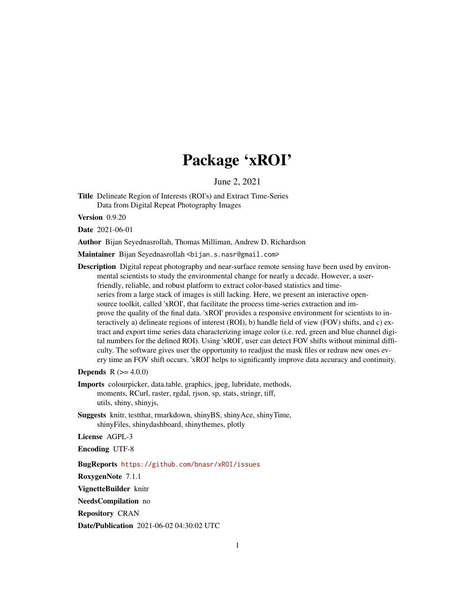# Package 'xROI'

June 2, 2021

Title Delineate Region of Interests (ROI's) and Extract Time-Series Data from Digital Repeat Photography Images

Version 0.9.20

Date 2021-06-01

Author Bijan Seyednasrollah, Thomas Milliman, Andrew D. Richardson

Maintainer Bijan Seyednasrollah <br/>bijan.s.nasr@gmail.com>

Description Digital repeat photography and near-surface remote sensing have been used by environmental scientists to study the environmental change for nearly a decade. However, a userfriendly, reliable, and robust platform to extract color-based statistics and timeseries from a large stack of images is still lacking. Here, we present an interactive opensource toolkit, called 'xROI', that facilitate the process time-series extraction and improve the quality of the final data. 'xROI' provides a responsive environment for scientists to interactively a) delineate regions of interest (ROI), b) handle field of view (FOV) shifts, and c) extract and export time series data characterizing image color (i.e. red, green and blue channel digital numbers for the defined ROI). Using 'xROI', user can detect FOV shifts without minimal difficulty. The software gives user the opportunity to readjust the mask files or redraw new ones every time an FOV shift occurs. 'xROI' helps to significantly improve data accuracy and continuity.

**Depends**  $R (= 4.0.0)$ 

- Imports colourpicker, data.table, graphics, jpeg, lubridate, methods, moments, RCurl, raster, rgdal, rjson, sp, stats, stringr, tiff, utils, shiny, shinyjs,
- Suggests knitr, testthat, rmarkdown, shinyBS, shinyAce, shinyTime, shinyFiles, shinydashboard, shinythemes, plotly

License AGPL-3

Encoding UTF-8

BugReports <https://github.com/bnasr/xROI/issues>

RoxygenNote 7.1.1

VignetteBuilder knitr

NeedsCompilation no

Repository CRAN

Date/Publication 2021-06-02 04:30:02 UTC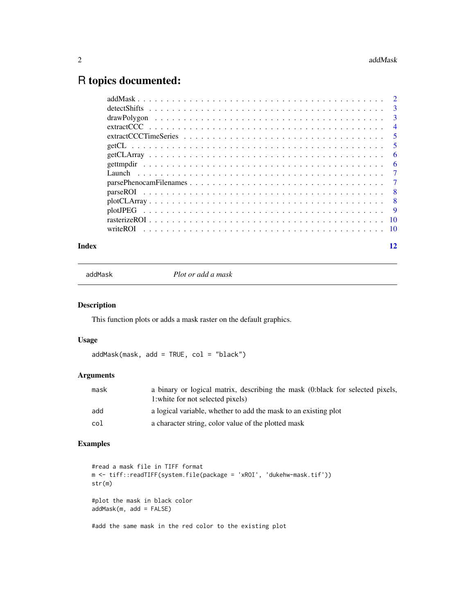## <span id="page-1-0"></span>R topics documented:

| Index | 12 |
|-------|----|

addMask *Plot or add a mask*

#### Description

This function plots or adds a mask raster on the default graphics.

#### Usage

addMask(mask, add = TRUE, col = "black")

#### Arguments

| mask | a binary or logical matrix, describing the mask (0:black for selected pixels,<br>1: white for not selected pixels) |
|------|--------------------------------------------------------------------------------------------------------------------|
| add  | a logical variable, whether to add the mask to an existing plot                                                    |
| col  | a character string, color value of the plotted mask                                                                |

### Examples

```
#read a mask file in TIFF format
m <- tiff::readTIFF(system.file(package = 'xROI', 'dukehw-mask.tif'))
str(m)
#plot the mask in black color
addMask(m, add = FALSE)
```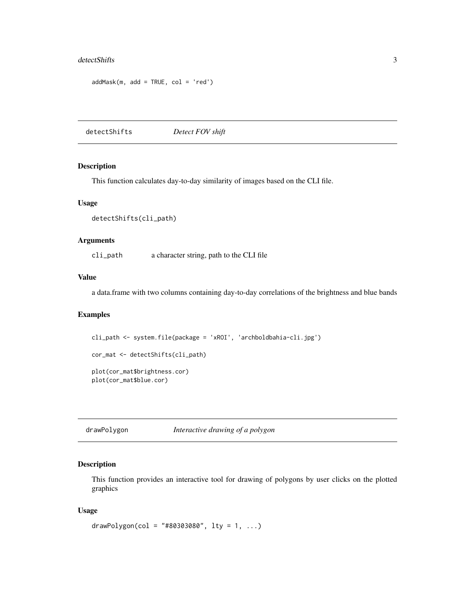#### <span id="page-2-0"></span>detectShifts 3

```
addMask(m, add = TRUE, col = 'red')
```
detectShifts *Detect FOV shift*

#### **Description**

This function calculates day-to-day similarity of images based on the CLI file.

#### Usage

```
detectShifts(cli_path)
```
#### Arguments

cli\_path a character string, path to the CLI file

#### Value

a data.frame with two columns containing day-to-day correlations of the brightness and blue bands

#### Examples

```
cli_path <- system.file(package = 'xROI', 'archboldbahia-cli.jpg')
cor_mat <- detectShifts(cli_path)
plot(cor_mat$brightness.cor)
plot(cor_mat$blue.cor)
```
drawPolygon *Interactive drawing of a polygon*

#### Description

This function provides an interactive tool for drawing of polygons by user clicks on the plotted graphics

#### Usage

```
drawPolygon(col = "#80303080", lty = 1, ...)
```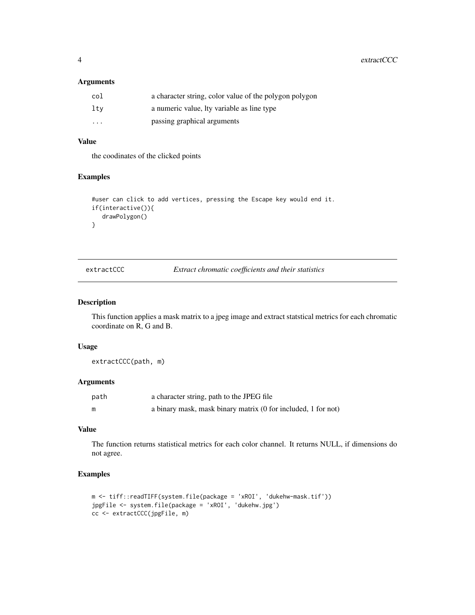<span id="page-3-0"></span>4 extractCCC extractCCC

#### Arguments

| col                  | a character string, color value of the polygon polygon |
|----------------------|--------------------------------------------------------|
| lty                  | a numeric value, ity variable as line type             |
| $\ddot{\phantom{0}}$ | passing graphical arguments                            |

#### Value

the coodinates of the clicked points

#### Examples

```
#user can click to add vertices, pressing the Escape key would end it.
if(interactive()){
  drawPolygon()
}
```
extractCCC *Extract chromatic coefficients and their statistics*

#### Description

This function applies a mask matrix to a jpeg image and extract statstical metrics for each chromatic coordinate on R, G and B.

#### Usage

extractCCC(path, m)

#### Arguments

| path | a character string, path to the JPEG file                     |
|------|---------------------------------------------------------------|
|      | a binary mask, mask binary matrix (0 for included, 1 for not) |

#### Value

The function returns statistical metrics for each color channel. It returns NULL, if dimensions do not agree.

#### Examples

```
m <- tiff::readTIFF(system.file(package = 'xROI', 'dukehw-mask.tif'))
jpgFile <- system.file(package = 'xROI', 'dukehw.jpg')
cc <- extractCCC(jpgFile, m)
```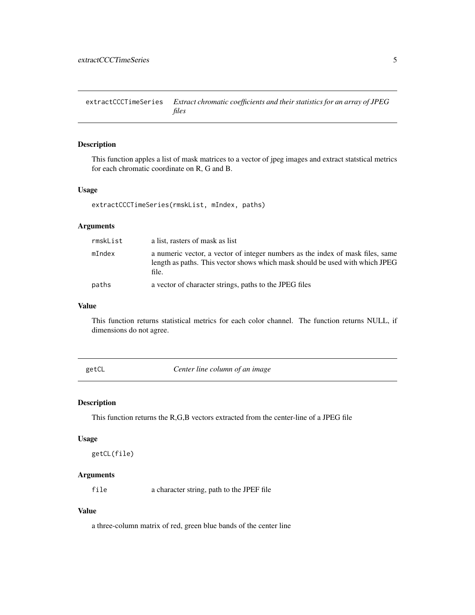<span id="page-4-0"></span>extractCCCTimeSeries *Extract chromatic coefficients and their statistics for an array of JPEG files*

#### Description

This function apples a list of mask matrices to a vector of jpeg images and extract statstical metrics for each chromatic coordinate on R, G and B.

#### Usage

extractCCCTimeSeries(rmskList, mIndex, paths)

#### Arguments

| rmskList | a list, rasters of mask as list                                                                                                                                         |
|----------|-------------------------------------------------------------------------------------------------------------------------------------------------------------------------|
| mIndex   | a numeric vector, a vector of integer numbers as the index of mask files, same<br>length as paths. This vector shows which mask should be used with which JPEG<br>file. |
| paths    | a vector of character strings, paths to the JPEG files                                                                                                                  |

#### Value

This function returns statistical metrics for each color channel. The function returns NULL, if dimensions do not agree.

getCL *Center line column of an image*

#### Description

This function returns the R,G,B vectors extracted from the center-line of a JPEG file

#### Usage

getCL(file)

#### Arguments

file a character string, path to the JPEF file

#### Value

a three-column matrix of red, green blue bands of the center line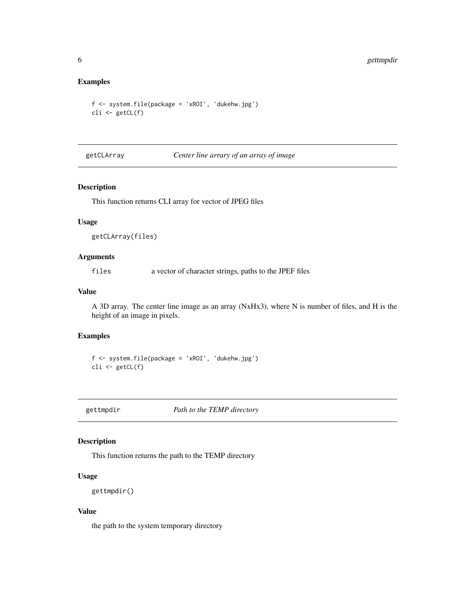#### <span id="page-5-0"></span>Examples

```
f <- system.file(package = 'xROI', 'dukehw.jpg')
cli <- getCL(f)
```
getCLArray *Center line arrary of an array of image*

#### Description

This function returns CLI array for vector of JPEG files

#### Usage

getCLArray(files)

#### Arguments

files a vector of character strings, paths to the JPEF files

#### Value

A 3D array. The center line image as an array (NxHx3), where N is number of files, and H is the height of an image in pixels.

#### Examples

```
f <- system.file(package = 'xROI', 'dukehw.jpg')
cli <- getCL(f)
```
gettmpdir *Path to the TEMP directory*

#### Description

This function returns the path to the TEMP directory

#### Usage

```
gettmpdir()
```
#### Value

the path to the system temporary directory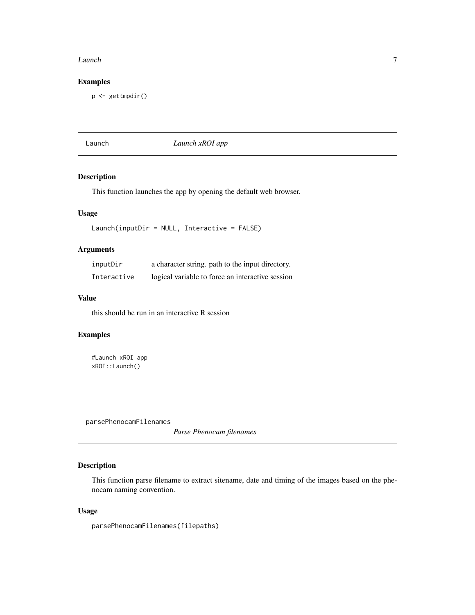#### <span id="page-6-0"></span>Launch 7 and 7 and 7 and 7 and 7 and 7 and 7 and 7 and 7 and 7 and 7 and 7 and 7 and 7 and 7 and 7 and 7 and 7

#### Examples

p <- gettmpdir()

Launch *Launch xROI app*

#### Description

This function launches the app by opening the default web browser.

#### Usage

Launch(inputDir = NULL, Interactive = FALSE)

### Arguments

| inputDir    | a character string, path to the input directory. |
|-------------|--------------------------------------------------|
| Interactive | logical variable to force an interactive session |

#### Value

this should be run in an interactive R session

#### Examples

#Launch xROI app xROI::Launch()

parsePhenocamFilenames

*Parse Phenocam filenames*

### Description

This function parse filename to extract sitename, date and timing of the images based on the phenocam naming convention.

#### Usage

parsePhenocamFilenames(filepaths)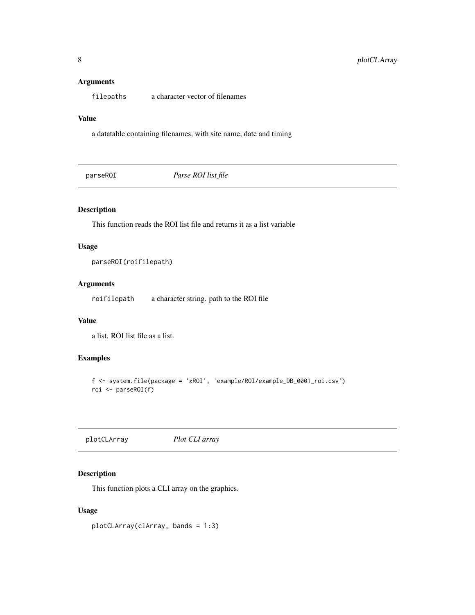#### <span id="page-7-0"></span>Arguments

filepaths a character vector of filenames

#### Value

a datatable containing filenames, with site name, date and timing

parseROI *Parse ROI list file*

#### Description

This function reads the ROI list file and returns it as a list variable

#### Usage

parseROI(roifilepath)

#### Arguments

roifilepath a character string. path to the ROI file

#### Value

a list. ROI list file as a list.

#### Examples

```
f <- system.file(package = 'xROI', 'example/ROI/example_DB_0001_roi.csv')
roi <- parseROI(f)
```
plotCLArray *Plot CLI array*

#### Description

This function plots a CLI array on the graphics.

#### Usage

plotCLArray(clArray, bands = 1:3)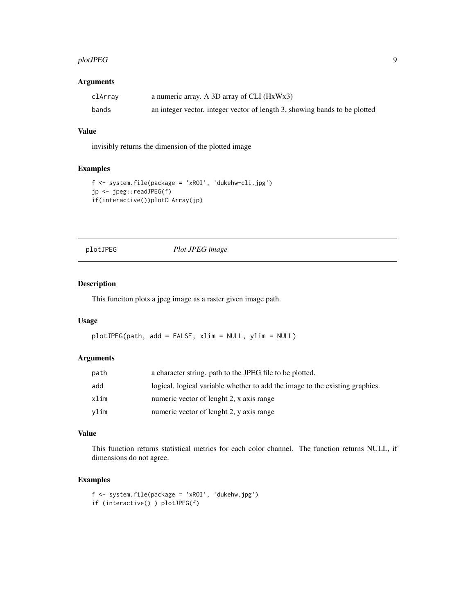#### <span id="page-8-0"></span>plotJPEG 99

#### Arguments

| clArray | a numeric array. A 3D array of CLI $(HxWx3)$                               |
|---------|----------------------------------------------------------------------------|
| bands   | an integer vector, integer vector of length 3, showing bands to be plotted |

#### Value

invisibly returns the dimension of the plotted image

#### Examples

```
f <- system.file(package = 'xROI', 'dukehw-cli.jpg')
jp <- jpeg::readJPEG(f)
if(interactive())plotCLArray(jp)
```
plotJPEG *Plot JPEG image*

#### Description

This funciton plots a jpeg image as a raster given image path.

#### Usage

```
plotJPEG(path, add = FALSE, xlim = NULL, ylim = NULL)
```
#### Arguments

| path | a character string. path to the JPEG file to be plotted.                     |
|------|------------------------------------------------------------------------------|
| add  | logical. logical variable whether to add the image to the existing graphics. |
| xlim | numeric vector of lenght 2, x axis range                                     |
| vlim | numeric vector of lenght 2, y axis range                                     |

#### Value

This function returns statistical metrics for each color channel. The function returns NULL, if dimensions do not agree.

#### Examples

```
f <- system.file(package = 'xROI', 'dukehw.jpg')
if (interactive() ) plotJPEG(f)
```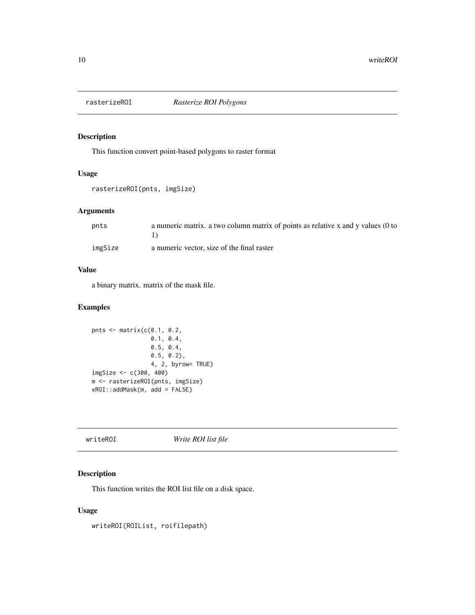<span id="page-9-0"></span>

#### Description

This function convert point-based polygons to raster format

#### Usage

```
rasterizeROI(pnts, imgSize)
```
#### Arguments

| pnts    | a numeric matrix, a two column matrix of points as relative x and y values (0 to |
|---------|----------------------------------------------------------------------------------|
|         |                                                                                  |
| imgSize | a numeric vector, size of the final raster                                       |

#### Value

a binary matrix. matrix of the mask file.

#### Examples

```
pnts <- matrix(c(0.1, 0.2,
                 0.1, 0.4,
                 0.5, 0.4,
                 0.5, 0.2),
                 4, 2, byrow= TRUE)
imgSize <- c(300, 400)
m <- rasterizeROI(pnts, imgSize)
xROI::addMask(m, add = FALSE)
```

|--|

#### Description

This function writes the ROI list file on a disk space.

#### Usage

writeROI(ROIList, roifilepath)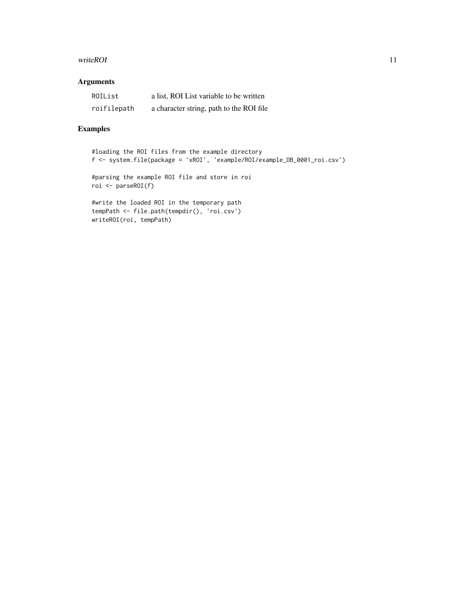#### writeROI 11

#### Arguments

| ROIList     | a list, ROI List variable to be written  |
|-------------|------------------------------------------|
| roifilepath | a character string, path to the ROI file |

#### Examples

#loading the ROI files from the example directory f <- system.file(package = 'xROI', 'example/ROI/example\_DB\_0001\_roi.csv')

#parsing the example ROI file and store in roi roi <- parseROI(f)

#write the loaded ROI in the temporary path tempPath <- file.path(tempdir(), 'roi.csv') writeROI(roi, tempPath)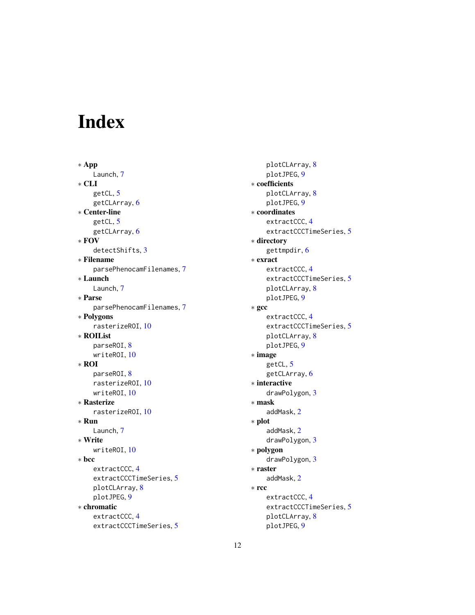# <span id="page-11-0"></span>Index

∗ App Launch, [7](#page-6-0) ∗ CLI getCL, [5](#page-4-0) getCLArray, [6](#page-5-0) ∗ Center-line getCL, [5](#page-4-0) getCLArray, [6](#page-5-0) ∗ FOV detectShifts, [3](#page-2-0) ∗ Filename parsePhenocamFilenames, [7](#page-6-0) ∗ Launch Launch, [7](#page-6-0) ∗ Parse parsePhenocamFilenames, [7](#page-6-0) ∗ Polygons rasterizeROI, [10](#page-9-0) ∗ ROIList parseROI, [8](#page-7-0) writeROI, [10](#page-9-0) ∗ ROI parseROI, [8](#page-7-0) rasterizeROI, [10](#page-9-0) writeROI, [10](#page-9-0) ∗ Rasterize rasterizeROI, [10](#page-9-0) ∗ Run Launch, [7](#page-6-0) ∗ Write writeROI, [10](#page-9-0) ∗ bcc extractCCC, [4](#page-3-0) extractCCCTimeSeries, [5](#page-4-0) plotCLArray, [8](#page-7-0) plotJPEG, [9](#page-8-0) ∗ chromatic extractCCC, [4](#page-3-0) extractCCCTimeSeries, [5](#page-4-0)

plotCLArray, [8](#page-7-0) plotJPEG, [9](#page-8-0) ∗ coefficients plotCLArray, [8](#page-7-0) plotJPEG, [9](#page-8-0) ∗ coordinates extractCCC, [4](#page-3-0) extractCCCTimeSeries, [5](#page-4-0) ∗ directory gettmpdir, [6](#page-5-0) ∗ exract extractCCC, [4](#page-3-0) extractCCCTimeSeries, [5](#page-4-0) plotCLArray, [8](#page-7-0) plotJPEG, [9](#page-8-0) ∗ gcc extractCCC, [4](#page-3-0) extractCCCTimeSeries, [5](#page-4-0) plotCLArray, [8](#page-7-0) plotJPEG, [9](#page-8-0) ∗ image getCL, [5](#page-4-0) getCLArray, [6](#page-5-0) ∗ interactive drawPolygon, [3](#page-2-0) ∗ mask addMask, [2](#page-1-0) ∗ plot addMask, [2](#page-1-0) drawPolygon, [3](#page-2-0) ∗ polygon drawPolygon, [3](#page-2-0) ∗ raster addMask, [2](#page-1-0) ∗ rcc extractCCC, [4](#page-3-0) extractCCCTimeSeries, [5](#page-4-0) plotCLArray, [8](#page-7-0) plotJPEG, [9](#page-8-0)